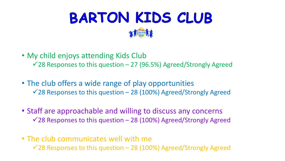

- My child enjoys attending Kids Club
	- $\sqrt{28}$  Responses to this question 27 (96.5%) Agreed/Strongly Agreed
- The club offers a wide range of play opportunities  $\sqrt{28}$  Responses to this question – 28 (100%) Agreed/Strongly Agreed
- Staff are approachable and willing to discuss any concerns  $\sqrt{28}$  Responses to this question – 28 (100%) Agreed/Strongly Agreed
- The club communicates well with me  $\sqrt{28}$  Responses to this question – 28 (100%) Agreed/Strongly Agreed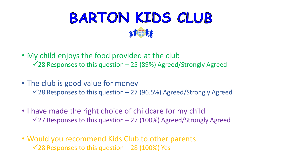

- My child enjoys the food provided at the club  $\sqrt{28}$  Responses to this question – 25 (89%) Agreed/Strongly Agreed
- The club is good value for money  $\sqrt{28}$  Responses to this question – 27 (96.5%) Agreed/Strongly Agreed
- I have made the right choice of childcare for my child  $\sqrt{27}$  Responses to this question – 27 (100%) Agreed/Strongly Agreed
- Would you recommend Kids Club to other parents  $\sqrt{28}$  Responses to this question – 28 (100%) Yes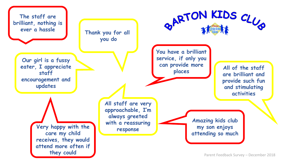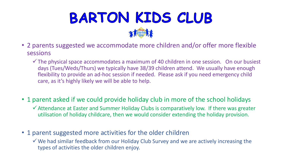

- 2 parents suggested we accommodate more children and/or offer more flexible sessions
	- $\checkmark$  The physical space accommodates a maximum of 40 children in one session. On our busiest days (Tues/Weds/Thurs) we typically have 38/39 children attend. We usually have enough flexibility to provide an ad-hoc session if needed. Please ask if you need emergency child care, as it's highly likely we will be able to help.
- 1 parent asked if we could provide holiday club in more of the school holidays
	- Attendance at Easter and Summer Holiday Clubs is comparatively low. If there was greater utilisation of holiday childcare, then we would consider extending the holiday provision.
- 1 parent suggested more activities for the older children
	- We had similar feedback from our Holiday Club Survey and we are actively increasing the types of activities the older children enjoy.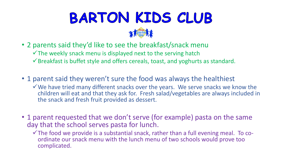

- 2 parents said they'd like to see the breakfast/snack menu
	- $\checkmark$  The weekly snack menu is displayed next to the serving hatch
	- Breakfast is buffet style and offers cereals, toast, and yoghurts as standard.
- 1 parent said they weren't sure the food was always the healthiest
	- $\checkmark$  We have tried many different snacks over the years. We serve snacks we know the children will eat and that they ask for. Fresh salad/vegetables are always included in the snack and fresh fruit provided as dessert.
- 1 parent requested that we don't serve (for example) pasta on the same day that the school serves pasta for lunch.
	- $\checkmark$  The food we provide is a substantial snack, rather than a full evening meal. To coordinate our snack menu with the lunch menu of two schools would prove too complicated.